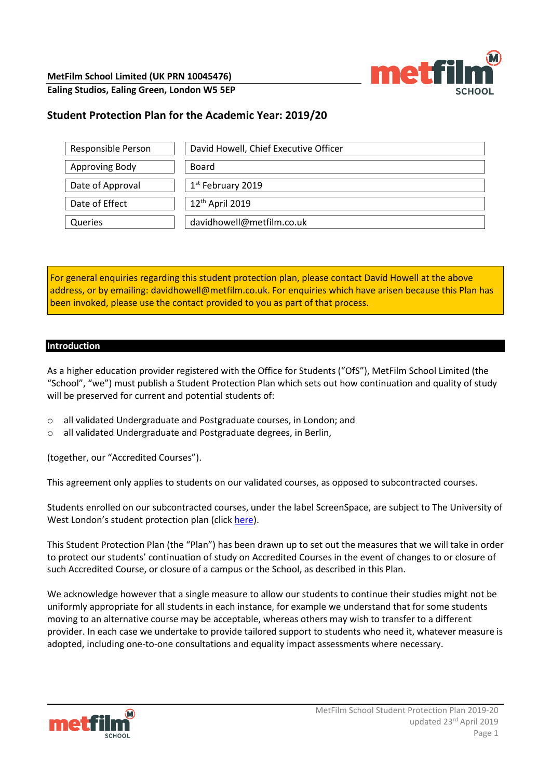

**Ealing Studios, Ealing Green, London W5 5EP** 

# **Student Protection Plan for the Academic Year: 2019/20**

| Responsible Person | David Howell, Chief Executive Officer |
|--------------------|---------------------------------------|
| Approving Body     | Board                                 |
| Date of Approval   | 1 <sup>st</sup> February 2019         |
| Date of Effect     | 12 <sup>th</sup> April 2019           |
| Queries            | davidhowell@metfilm.co.uk             |

For general enquiries regarding this student protection plan, please contact David Howell at the above address, or by emailing: davidhowell@metfilm.co.uk. For enquiries which have arisen because this Plan has been invoked, please use the contact provided to you as part of that process.

#### **Introduction**

As a higher education provider registered with the Office for Students ("OfS"), MetFilm School Limited (the "School", "we") must publish a Student Protection Plan which sets out how continuation and quality of study will be preserved for current and potential students of:

- o all validated Undergraduate and Postgraduate courses, in London; and
- o all validated Undergraduate and Postgraduate degrees, in Berlin,

(together, our "Accredited Courses").

This agreement only applies to students on our validated courses, as opposed to subcontracted courses.

Students enrolled on our subcontracted courses, under the label ScreenSpace, are subject to The University of West London's student protection plan (click [here\)](https://www.uwl.ac.uk/sites/default/files/Departments/About-us/student_protection_plan_v8.pdf).

This Student Protection Plan (the "Plan") has been drawn up to set out the measures that we will take in order to protect our students' continuation of study on Accredited Courses in the event of changes to or closure of such Accredited Course, or closure of a campus or the School, as described in this Plan.

We acknowledge however that a single measure to allow our students to continue their studies might not be uniformly appropriate for all students in each instance, for example we understand that for some students moving to an alternative course may be acceptable, whereas others may wish to transfer to a different provider. In each case we undertake to provide tailored support to students who need it, whatever measure is adopted, including one-to-one consultations and equality impact assessments where necessary.

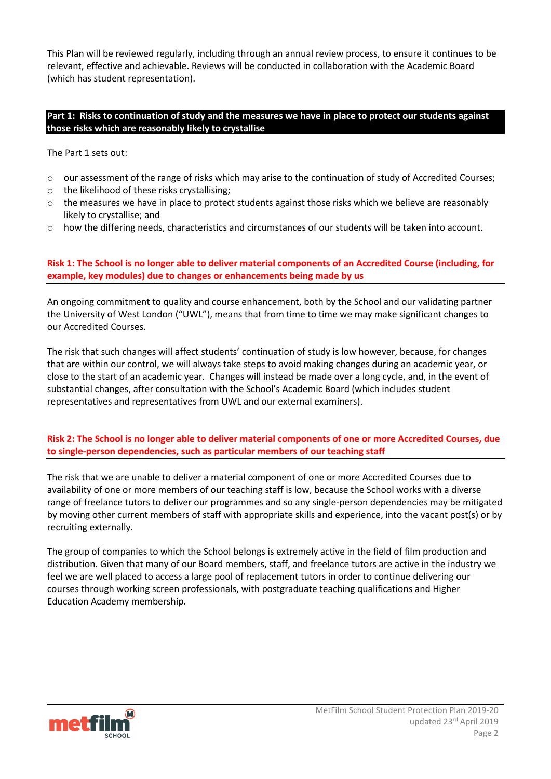This Plan will be reviewed regularly, including through an annual review process, to ensure it continues to be relevant, effective and achievable. Reviews will be conducted in collaboration with the Academic Board (which has student representation).

#### **Part 1: Risks to continuation of study and the measures we have in place to protect our students against those risks which are reasonably likely to crystallise**

The Part 1 sets out:

- o our assessment of the range of risks which may arise to the continuation of study of Accredited Courses;
- o the likelihood of these risks crystallising;
- $\circ$  the measures we have in place to protect students against those risks which we believe are reasonably likely to crystallise; and
- o how the differing needs, characteristics and circumstances of our students will be taken into account.

# **Risk 1: The School is no longer able to deliver material components of an Accredited Course (including, for example, key modules) due to changes or enhancements being made by us**

An ongoing commitment to quality and course enhancement, both by the School and our validating partner the University of West London ("UWL"), means that from time to time we may make significant changes to our Accredited Courses.

The risk that such changes will affect students' continuation of study is low however, because, for changes that are within our control, we will always take steps to avoid making changes during an academic year, or close to the start of an academic year. Changes will instead be made over a long cycle, and, in the event of substantial changes, after consultation with the School's Academic Board (which includes student representatives and representatives from UWL and our external examiners).

## **Risk 2: The School is no longer able to deliver material components of one or more Accredited Courses, due to single-person dependencies, such as particular members of our teaching staff**

The risk that we are unable to deliver a material component of one or more Accredited Courses due to availability of one or more members of our teaching staff is low, because the School works with a diverse range of freelance tutors to deliver our programmes and so any single-person dependencies may be mitigated by moving other current members of staff with appropriate skills and experience, into the vacant post(s) or by recruiting externally.

The group of companies to which the School belongs is extremely active in the field of film production and distribution. Given that many of our Board members, staff, and freelance tutors are active in the industry we feel we are well placed to access a large pool of replacement tutors in order to continue delivering our courses through working screen professionals, with postgraduate teaching qualifications and Higher Education Academy membership.

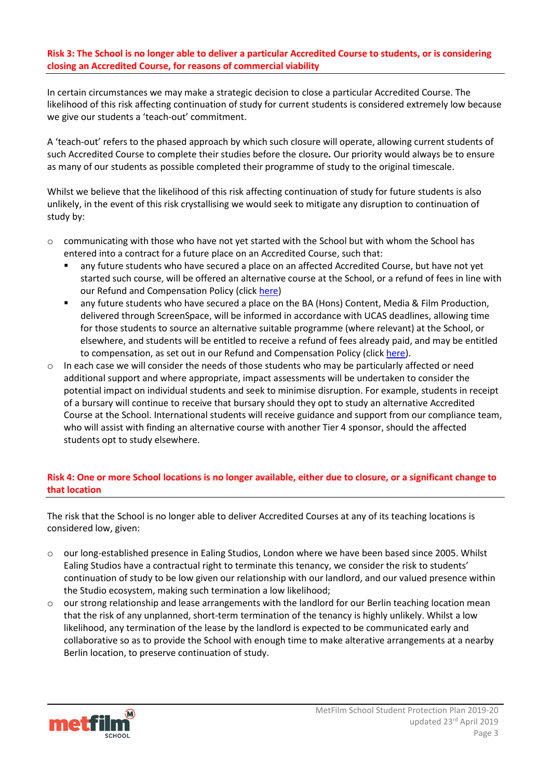## **Risk 3: The School is no longer able to deliver a particular Accredited Course to students, or is considering closing an Accredited Course, for reasons of commercial viability**

In certain circumstances we may make a strategic decision to close a particular Accredited Course. The likelihood of this risk affecting continuation of study for current students is considered extremely low because we give our students a 'teach-out' commitment.

A 'teach-out' refers to the phased approach by which such closure will operate, allowing current students of such Accredited Course to complete their studies before the closure*.* Our priority would always be to ensure as many of our students as possible completed their programme of study to the original timescale.

Whilst we believe that the likelihood of this risk affecting continuation of study for future students is also unlikely, in the event of this risk crystallising we would seek to mitigate any disruption to continuation of study by:

- $\circ$  communicating with those who have not yet started with the School but with whom the School has entered into a contract for a future place on an Accredited Course, such that:
	- any future students who have secured a place on an affected Accredited Course, but have not yet started such course, will be offered an alternative course at the School, or a refund of fees in line with our Refund and Compensation Policy (click [here\)](https://nw1761q175jkp2hnjhhmmlth-wpengine.netdna-ssl.com/wp-content/uploads/2019/04/MetFilm-School-Refund-Policy-19-04-17.pdf)
	- any future students who have secured a place on the BA (Hons) Content, Media & Film Production, delivered through ScreenSpace, will be informed in accordance with UCAS deadlines, allowing time for those students to source an alternative suitable programme (where relevant) at the School, or elsewhere, and students will be entitled to receive a refund of fees already paid, and may be entitled to compensation, as set out in our Refund and Compensation Policy (clic[k here\)](https://nw1761q175jkp2hnjhhmmlth-wpengine.netdna-ssl.com/wp-content/uploads/2019/04/MetFilm-School-Refund-Policy-19-04-17.pdf).
- $\circ$  In each case we will consider the needs of those students who may be particularly affected or need additional support and where appropriate, impact assessments will be undertaken to consider the potential impact on individual students and seek to minimise disruption. For example, students in receipt of a bursary will continue to receive that bursary should they opt to study an alternative Accredited Course at the School. International students will receive guidance and support from our compliance team, who will assist with finding an alternative course with another Tier 4 sponsor, should the affected students opt to study elsewhere.

# **Risk 4: One or more School locations is no longer available, either due to closure, or a significant change to that location**

The risk that the School is no longer able to deliver Accredited Courses at any of its teaching locations is considered low, given:

- $\circ$  our long-established presence in Ealing Studios, London where we have been based since 2005. Whilst Ealing Studios have a contractual right to terminate this tenancy, we consider the risk to students' continuation of study to be low given our relationship with our landlord, and our valued presence within the Studio ecosystem, making such termination a low likelihood;
- o our strong relationship and lease arrangements with the landlord for our Berlin teaching location mean that the risk of any unplanned, short-term termination of the tenancy is highly unlikely. Whilst a low likelihood, any termination of the lease by the landlord is expected to be communicated early and collaborative so as to provide the School with enough time to make alterative arrangements at a nearby Berlin location, to preserve continuation of study.

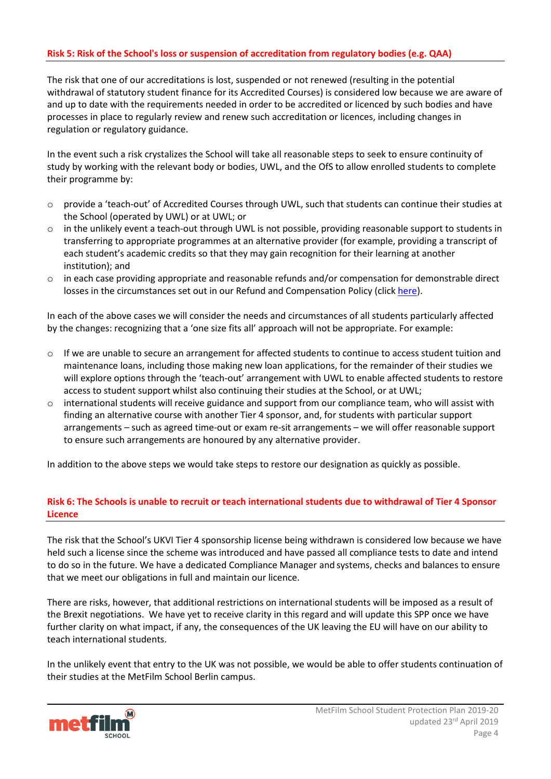#### **Risk 5: Risk of the School's loss or suspension of accreditation from regulatory bodies (e.g. QAA)**

The risk that one of our accreditations is lost, suspended or not renewed (resulting in the potential withdrawal of statutory student finance for its Accredited Courses) is considered low because we are aware of and up to date with the requirements needed in order to be accredited or licenced by such bodies and have processes in place to regularly review and renew such accreditation or licences, including changes in regulation or regulatory guidance.

In the event such a risk crystalizes the School will take all reasonable steps to seek to ensure continuity of study by working with the relevant body or bodies, UWL, and the OfS to allow enrolled students to complete their programme by:

- o provide a 'teach-out' of Accredited Courses through UWL, such that students can continue their studies at the School (operated by UWL) or at UWL; or
- o in the unlikely event a teach-out through UWL is not possible, providing reasonable support to students in transferring to appropriate programmes at an alternative provider (for example, providing a transcript of each student's academic credits so that they may gain recognition for their learning at another institution); and
- $\circ$  in each case providing appropriate and reasonable refunds and/or compensation for demonstrable direct losses in the circumstances set out in our Refund and Compensation Policy (click [here\)](https://nw1761q175jkp2hnjhhmmlth-wpengine.netdna-ssl.com/wp-content/uploads/2019/04/MetFilm-School-Refund-Policy-19-04-17.pdf).

In each of the above cases we will consider the needs and circumstances of all students particularly affected by the changes: recognizing that a 'one size fits all' approach will not be appropriate. For example:

- $\circ$  If we are unable to secure an arrangement for affected students to continue to access student tuition and maintenance loans, including those making new loan applications, for the remainder of their studies we will explore options through the 'teach-out' arrangement with UWL to enable affected students to restore access to student support whilst also continuing their studies at the School, or at UWL;
- $\circ$  international students will receive guidance and support from our compliance team, who will assist with finding an alternative course with another Tier 4 sponsor, and, for students with particular support arrangements – such as agreed time-out or exam re-sit arrangements – we will offer reasonable support to ensure such arrangements are honoured by any alternative provider.

In addition to the above steps we would take steps to restore our designation as quickly as possible.

## **Risk 6: The Schools is unable to recruit or teach international students due to withdrawal of Tier 4 Sponsor Licence**

The risk that the School's UKVI Tier 4 sponsorship license being withdrawn is considered low because we have held such a license since the scheme was introduced and have passed all compliance tests to date and intend to do so in the future. We have a dedicated Compliance Manager and systems, checks and balances to ensure that we meet our obligations in full and maintain our licence.

There are risks, however, that additional restrictions on international students will be imposed as a result of the Brexit negotiations. We have yet to receive clarity in this regard and will update this SPP once we have further clarity on what impact, if any, the consequences of the UK leaving the EU will have on our ability to teach international students.

In the unlikely event that entry to the UK was not possible, we would be able to offer students continuation of their studies at the MetFilm School Berlin campus.

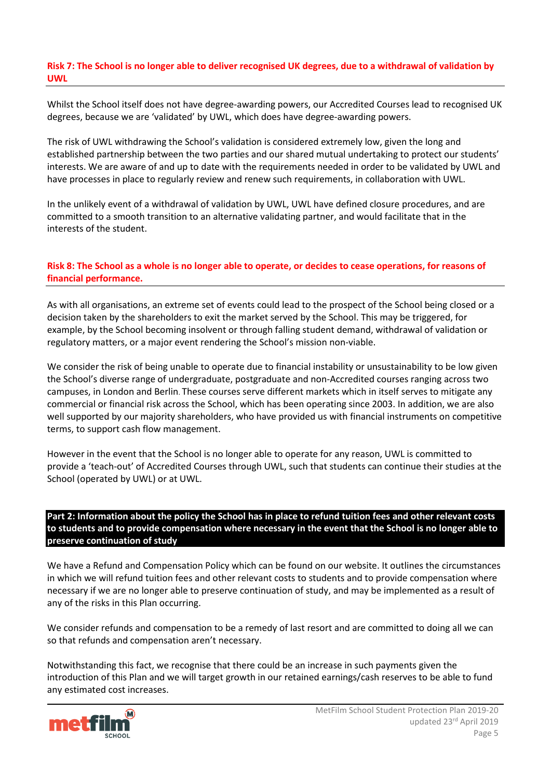#### **Risk 7: The School is no longer able to deliver recognised UK degrees, due to a withdrawal of validation by UWL**

Whilst the School itself does not have degree-awarding powers, our Accredited Courses lead to recognised UK degrees, because we are 'validated' by UWL, which does have degree-awarding powers.

The risk of UWL withdrawing the School's validation is considered extremely low, given the long and established partnership between the two parties and our shared mutual undertaking to protect our students' interests. We are aware of and up to date with the requirements needed in order to be validated by UWL and have processes in place to regularly review and renew such requirements, in collaboration with UWL.

In the unlikely event of a withdrawal of validation by UWL, UWL have defined closure procedures, and are committed to a smooth transition to an alternative validating partner, and would facilitate that in the interests of the student.

# **Risk 8: The School as a whole is no longer able to operate, or decides to cease operations, for reasons of financial performance.**

As with all organisations, an extreme set of events could lead to the prospect of the School being closed or a decision taken by the shareholders to exit the market served by the School. This may be triggered, for example, by the School becoming insolvent or through falling student demand, withdrawal of validation or regulatory matters, or a major event rendering the School's mission non-viable.

We consider the risk of being unable to operate due to financial instability or unsustainability to be low given the School's diverse range of undergraduate, postgraduate and non-Accredited courses ranging across two campuses, in London and Berlin. These courses serve different markets which in itself serves to mitigate any commercial or financial risk across the School, which has been operating since 2003. In addition, we are also well supported by our majority shareholders, who have provided us with financial instruments on competitive terms, to support cash flow management.

However in the event that the School is no longer able to operate for any reason, UWL is committed to provide a 'teach-out' of Accredited Courses through UWL, such that students can continue their studies at the School (operated by UWL) or at UWL.

#### **Part 2: Information about the policy the School has in place to refund tuition fees and other relevant costs to students and to provide compensation where necessary in the event that the School is no longer able to preserve continuation of study**

We have a Refund and Compensation Policy which can be found on our website. It outlines the circumstances in which we will refund tuition fees and other relevant costs to students and to provide compensation where necessary if we are no longer able to preserve continuation of study, and may be implemented as a result of any of the risks in this Plan occurring.

We consider refunds and compensation to be a remedy of last resort and are committed to doing all we can so that refunds and compensation aren't necessary.

Notwithstanding this fact, we recognise that there could be an increase in such payments given the introduction of this Plan and we will target growth in our retained earnings/cash reserves to be able to fund any estimated cost increases.